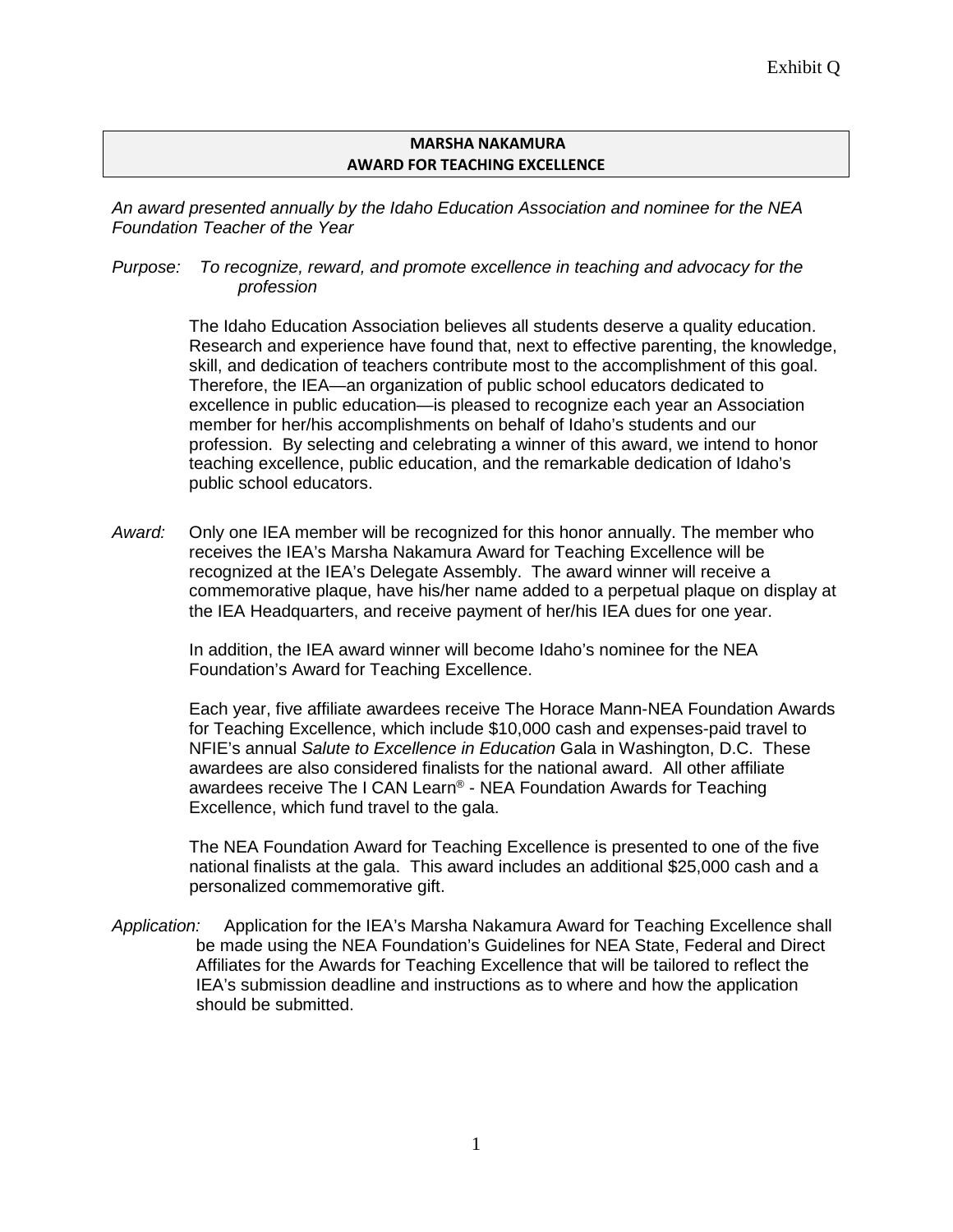#### **MARSHA NAKAMURA AWARD FOR TEACHING EXCELLENCE**

*An award presented annually by the Idaho Education Association and nominee for the NEA Foundation Teacher of the Year*

*Purpose: To recognize, reward, and promote excellence in teaching and advocacy for the profession*

> The Idaho Education Association believes all students deserve a quality education. Research and experience have found that, next to effective parenting, the knowledge, skill, and dedication of teachers contribute most to the accomplishment of this goal. Therefore, the IEA—an organization of public school educators dedicated to excellence in public education—is pleased to recognize each year an Association member for her/his accomplishments on behalf of Idaho's students and our profession. By selecting and celebrating a winner of this award, we intend to honor teaching excellence, public education, and the remarkable dedication of Idaho's public school educators.

*Award:* Only one IEA member will be recognized for this honor annually. The member who receives the IEA's Marsha Nakamura Award for Teaching Excellence will be recognized at the IEA's Delegate Assembly. The award winner will receive a commemorative plaque, have his/her name added to a perpetual plaque on display at the IEA Headquarters, and receive payment of her/his IEA dues for one year.

> In addition, the IEA award winner will become Idaho's nominee for the NEA Foundation's Award for Teaching Excellence.

Each year, five affiliate awardees receive The Horace Mann-NEA Foundation Awards for Teaching Excellence, which include \$10,000 cash and expenses-paid travel to NFIE's annual *Salute to Excellence in Education* Gala in Washington, D.C. These awardees are also considered finalists for the national award. All other affiliate awardees receive The I CAN Learn® - NEA Foundation Awards for Teaching Excellence, which fund travel to the gala.

The NEA Foundation Award for Teaching Excellence is presented to one of the five national finalists at the gala. This award includes an additional \$25,000 cash and a personalized commemorative gift.

*Application:* Application for the IEA's Marsha Nakamura Award for Teaching Excellence shall be made using the NEA Foundation's Guidelines for NEA State, Federal and Direct Affiliates for the Awards for Teaching Excellence that will be tailored to reflect the IEA's submission deadline and instructions as to where and how the application should be submitted.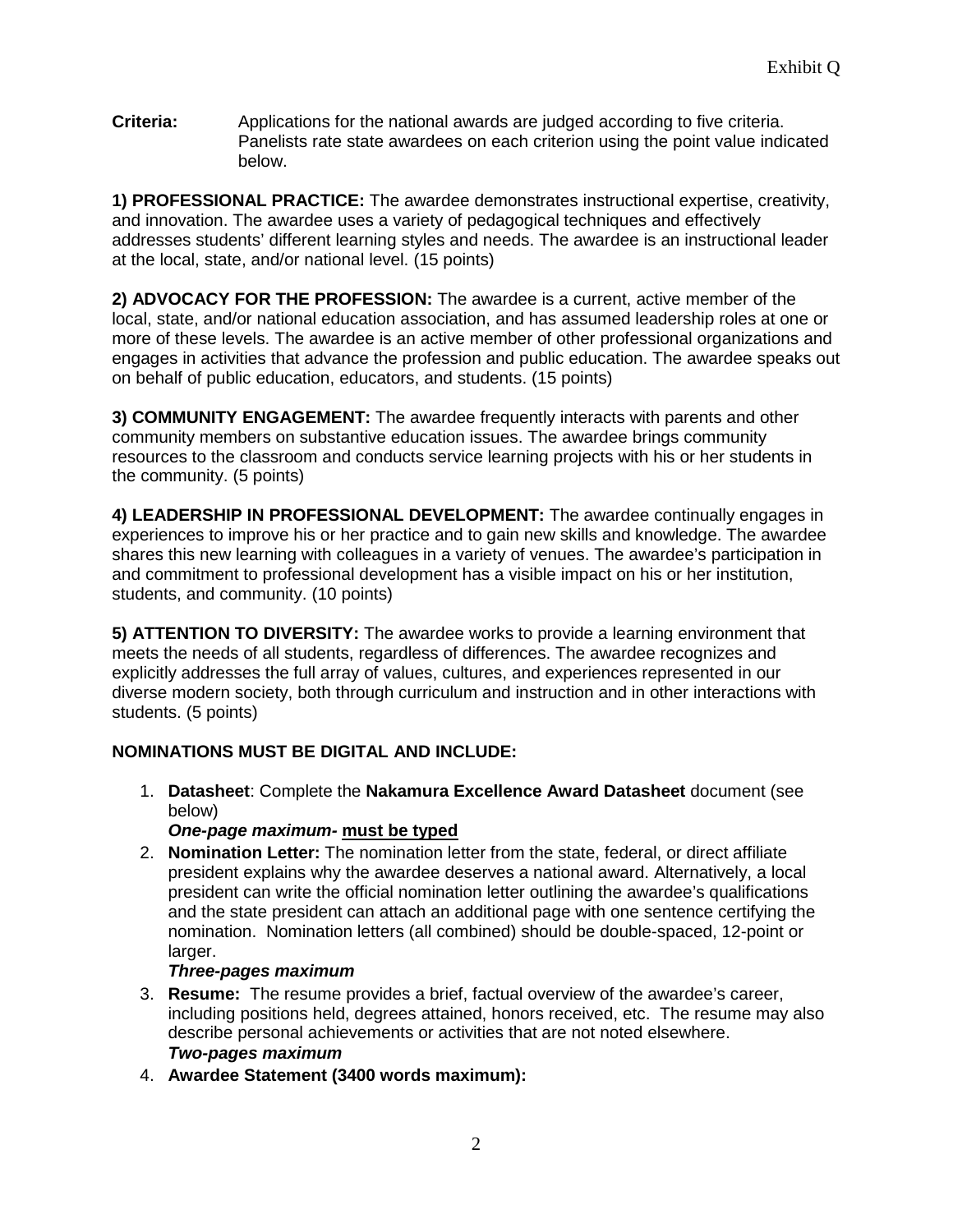**Criteria:** Applications for the national awards are judged according to five criteria. Panelists rate state awardees on each criterion using the point value indicated below.

**1) PROFESSIONAL PRACTICE:** The awardee demonstrates instructional expertise, creativity, and innovation. The awardee uses a variety of pedagogical techniques and effectively addresses students' different learning styles and needs. The awardee is an instructional leader at the local, state, and/or national level. (15 points)

**2) ADVOCACY FOR THE PROFESSION:** The awardee is a current, active member of the local, state, and/or national education association, and has assumed leadership roles at one or more of these levels. The awardee is an active member of other professional organizations and engages in activities that advance the profession and public education. The awardee speaks out on behalf of public education, educators, and students. (15 points)

**3) COMMUNITY ENGAGEMENT:** The awardee frequently interacts with parents and other community members on substantive education issues. The awardee brings community resources to the classroom and conducts service learning projects with his or her students in the community. (5 points)

**4) LEADERSHIP IN PROFESSIONAL DEVELOPMENT:** The awardee continually engages in experiences to improve his or her practice and to gain new skills and knowledge. The awardee shares this new learning with colleagues in a variety of venues. The awardee's participation in and commitment to professional development has a visible impact on his or her institution, students, and community. (10 points)

**5) ATTENTION TO DIVERSITY:** The awardee works to provide a learning environment that meets the needs of all students, regardless of differences. The awardee recognizes and explicitly addresses the full array of values, cultures, and experiences represented in our diverse modern society, both through curriculum and instruction and in other interactions with students. (5 points)

## **NOMINATIONS MUST BE DIGITAL AND INCLUDE:**

- 1. **Datasheet**: Complete the **Nakamura Excellence Award Datasheet** document (see below)
	- *One-page maximum-* **must be typed**
- 2. **Nomination Letter:** The nomination letter from the state, federal, or direct affiliate president explains why the awardee deserves a national award. Alternatively, a local president can write the official nomination letter outlining the awardee's qualifications and the state president can attach an additional page with one sentence certifying the nomination. Nomination letters (all combined) should be double-spaced, 12-point or larger.

### *Three-pages maximum*

- 3. **Resume:** The resume provides a brief, factual overview of the awardee's career, including positions held, degrees attained, honors received, etc. The resume may also describe personal achievements or activities that are not noted elsewhere. *Two-pages maximum*
- 4. **Awardee Statement (3400 words maximum):**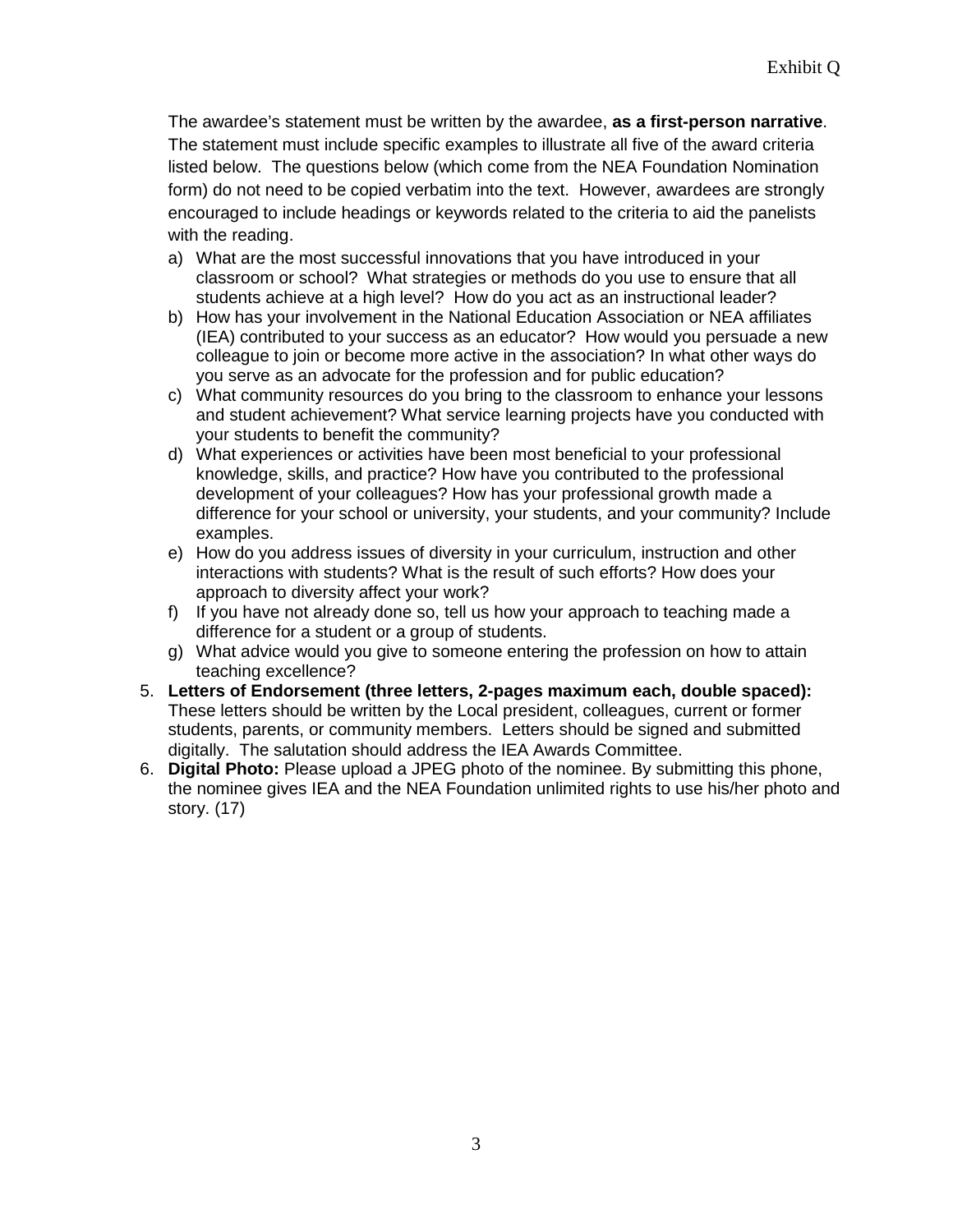The awardee's statement must be written by the awardee, **as a first-person narrative**. The statement must include specific examples to illustrate all five of the award criteria listed below. The questions below (which come from the NEA Foundation Nomination form) do not need to be copied verbatim into the text. However, awardees are strongly encouraged to include headings or keywords related to the criteria to aid the panelists with the reading.

- a) What are the most successful innovations that you have introduced in your classroom or school? What strategies or methods do you use to ensure that all students achieve at a high level? How do you act as an instructional leader?
- b) How has your involvement in the National Education Association or NEA affiliates (IEA) contributed to your success as an educator? How would you persuade a new colleague to join or become more active in the association? In what other ways do you serve as an advocate for the profession and for public education?
- c) What community resources do you bring to the classroom to enhance your lessons and student achievement? What service learning projects have you conducted with your students to benefit the community?
- d) What experiences or activities have been most beneficial to your professional knowledge, skills, and practice? How have you contributed to the professional development of your colleagues? How has your professional growth made a difference for your school or university, your students, and your community? Include examples.
- e) How do you address issues of diversity in your curriculum, instruction and other interactions with students? What is the result of such efforts? How does your approach to diversity affect your work?
- f) If you have not already done so, tell us how your approach to teaching made a difference for a student or a group of students.
- g) What advice would you give to someone entering the profession on how to attain teaching excellence?
- 5. **Letters of Endorsement (three letters, 2-pages maximum each, double spaced):** These letters should be written by the Local president, colleagues, current or former students, parents, or community members. Letters should be signed and submitted digitally. The salutation should address the IEA Awards Committee.
- 6. **Digital Photo:** Please upload a JPEG photo of the nominee. By submitting this phone, the nominee gives IEA and the NEA Foundation unlimited rights to use his/her photo and story. (17)